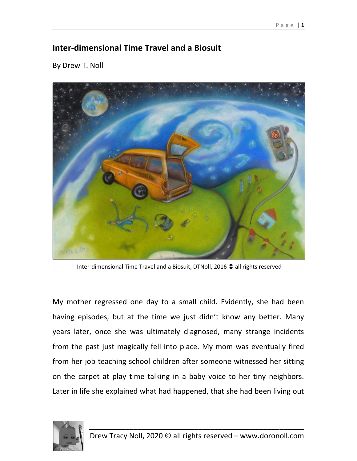## Inter-dimensional Time Travel and a Biosuit

By Drew T. Noll



Inter-dimensional Time Travel and a Biosuit, DTNoll, 2016 © all rights reserved

My mother regressed one day to a small child. Evidently, she had been having episodes, but at the time we just didn't know any better. Many years later, once she was ultimately diagnosed, many strange incidents from the past just magically fell into place. My mom was eventually fired from her job teaching school children after someone witnessed her sitting on the carpet at play time talking in a baby voice to her tiny neighbors. Later in life she explained what had happened, that she had been living out

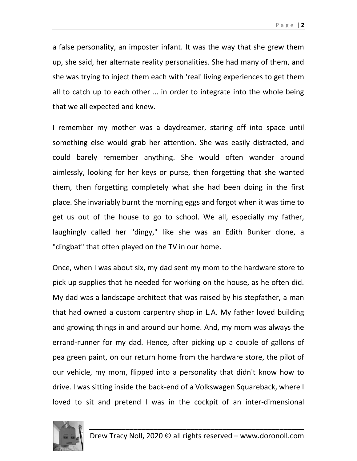a false personality, an imposter infant. It was the way that she grew them up, she said, her alternate reality personalities. She had many of them, and she was trying to inject them each with 'real' living experiences to get them all to catch up to each other … in order to integrate into the whole being that we all expected and knew.

I remember my mother was a daydreamer, staring off into space until something else would grab her attention. She was easily distracted, and could barely remember anything. She would often wander around aimlessly, looking for her keys or purse, then forgetting that she wanted them, then forgetting completely what she had been doing in the first place. She invariably burnt the morning eggs and forgot when it was time to get us out of the house to go to school. We all, especially my father, laughingly called her "dingy," like she was an Edith Bunker clone, a "dingbat" that often played on the TV in our home.

Once, when I was about six, my dad sent my mom to the hardware store to pick up supplies that he needed for working on the house, as he often did. My dad was a landscape architect that was raised by his stepfather, a man that had owned a custom carpentry shop in L.A. My father loved building and growing things in and around our home. And, my mom was always the errand-runner for my dad. Hence, after picking up a couple of gallons of pea green paint, on our return home from the hardware store, the pilot of our vehicle, my mom, flipped into a personality that didn't know how to drive. I was sitting inside the back-end of a Volkswagen Squareback, where I loved to sit and pretend I was in the cockpit of an inter-dimensional

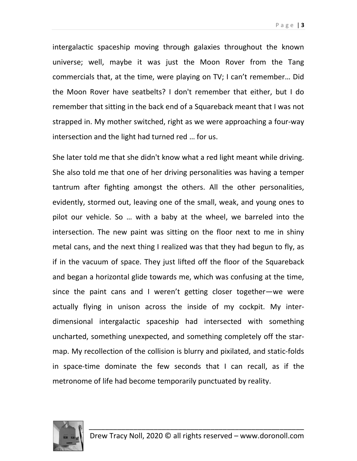intergalactic spaceship moving through galaxies throughout the known universe; well, maybe it was just the Moon Rover from the Tang commercials that, at the time, were playing on TV; I can't remember… Did the Moon Rover have seatbelts? I don't remember that either, but I do remember that sitting in the back end of a Squareback meant that I was not strapped in. My mother switched, right as we were approaching a four-way intersection and the light had turned red … for us.

She later told me that she didn't know what a red light meant while driving. She also told me that one of her driving personalities was having a temper tantrum after fighting amongst the others. All the other personalities, evidently, stormed out, leaving one of the small, weak, and young ones to pilot our vehicle. So … with a baby at the wheel, we barreled into the intersection. The new paint was sitting on the floor next to me in shiny metal cans, and the next thing I realized was that they had begun to fly, as if in the vacuum of space. They just lifted off the floor of the Squareback and began a horizontal glide towards me, which was confusing at the time, since the paint cans and I weren't getting closer together—we were actually flying in unison across the inside of my cockpit. My interdimensional intergalactic spaceship had intersected with something uncharted, something unexpected, and something completely off the starmap. My recollection of the collision is blurry and pixilated, and static-folds in space-time dominate the few seconds that I can recall, as if the metronome of life had become temporarily punctuated by reality.

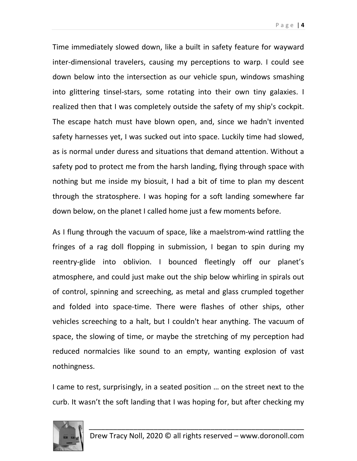Page | 4

Time immediately slowed down, like a built in safety feature for wayward inter-dimensional travelers, causing my perceptions to warp. I could see down below into the intersection as our vehicle spun, windows smashing into glittering tinsel-stars, some rotating into their own tiny galaxies. I realized then that I was completely outside the safety of my ship's cockpit. The escape hatch must have blown open, and, since we hadn't invented safety harnesses yet, I was sucked out into space. Luckily time had slowed, as is normal under duress and situations that demand attention. Without a safety pod to protect me from the harsh landing, flying through space with nothing but me inside my biosuit, I had a bit of time to plan my descent through the stratosphere. I was hoping for a soft landing somewhere far down below, on the planet I called home just a few moments before.

As I flung through the vacuum of space, like a maelstrom-wind rattling the fringes of a rag doll flopping in submission, I began to spin during my reentry-glide into oblivion. I bounced fleetingly off our planet's atmosphere, and could just make out the ship below whirling in spirals out of control, spinning and screeching, as metal and glass crumpled together and folded into space-time. There were flashes of other ships, other vehicles screeching to a halt, but I couldn't hear anything. The vacuum of space, the slowing of time, or maybe the stretching of my perception had reduced normalcies like sound to an empty, wanting explosion of vast nothingness.

I came to rest, surprisingly, in a seated position … on the street next to the curb. It wasn't the soft landing that I was hoping for, but after checking my